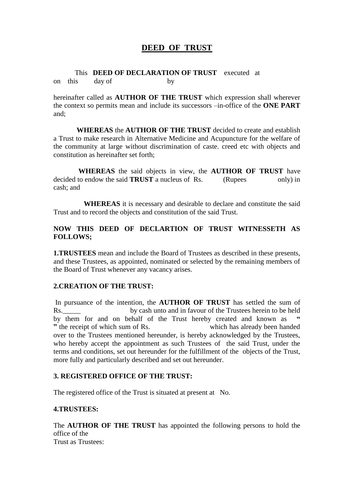# **DEED OF TRUST**

 This **DEED OF DECLARATION OF TRUST** executed at on this day of by

hereinafter called as **AUTHOR OF THE TRUST** which expression shall wherever the context so permits mean and include its successors –in-office of the **ONE PART** and;

 **WHEREAS** the **AUTHOR OF THE TRUST** decided to create and establish a Trust to make research in Alternative Medicine and Acupuncture for the welfare of the community at large without discrimination of caste. creed etc with objects and constitution as hereinafter set forth;

 **WHEREAS** the said objects in view, the **AUTHOR OF TRUST** have decided to endow the said **TRUST** a nucleus of Rs. (Rupees only) in cash; and

 **WHEREAS** it is necessary and desirable to declare and constitute the said Trust and to record the objects and constitution of the said Trust.

## **NOW THIS DEED OF DECLARTION OF TRUST WITNESSETH AS FOLLOWS;**

**1.TRUSTEES** mean and include the Board of Trustees as described in these presents, and these Trustees, as appointed, nominated or selected by the remaining members of the Board of Trust whenever any vacancy arises.

#### **2.CREATION OF THE TRUST:**

In pursuance of the intention, the **AUTHOR OF TRUST** has settled the sum of Rs. by cash unto and in favour of the Trustees herein to be held by them for and on behalf of the Trust hereby created and known as **"** the receipt of which sum of Rs. which has already been handed over to the Trustees mentioned hereunder, is hereby acknowledged by the Trustees, who hereby accept the appointment as such Trustees of the said Trust, under the terms and conditions, set out hereunder for the fulfillment of the objects of the Trust, more fully and particularly described and set out hereunder.

#### **3. REGISTERED OFFICE OF THE TRUST:**

The registered office of the Trust is situated at present at No.

### **4.TRUSTEES:**

The **AUTHOR OF THE TRUST** has appointed the following persons to hold the office of the Trust as Trustees: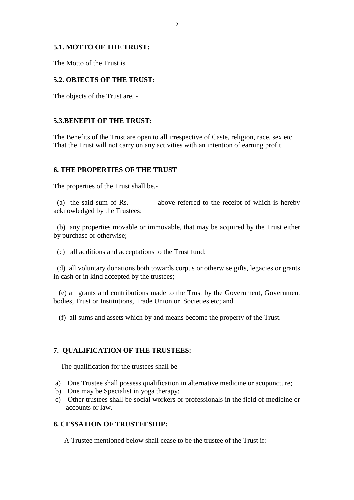### **5.1. MOTTO OF THE TRUST:**

The Motto of the Trust is

## **5.2. OBJECTS OF THE TRUST:**

The objects of the Trust are. -

#### **5.3.BENEFIT OF THE TRUST:**

The Benefits of the Trust are open to all irrespective of Caste, religion, race, sex etc. That the Trust will not carry on any activities with an intention of earning profit.

### **6. THE PROPERTIES OF THE TRUST**

The properties of the Trust shall be.-

 (a) the said sum of Rs. above referred to the receipt of which is hereby acknowledged by the Trustees;

 (b) any properties movable or immovable, that may be acquired by the Trust either by purchase or otherwise;

(c) all additions and acceptations to the Trust fund;

 (d) all voluntary donations both towards corpus or otherwise gifts, legacies or grants in cash or in kind accepted by the trustees;

 (e) all grants and contributions made to the Trust by the Government, Government bodies, Trust or Institutions, Trade Union or Societies etc; and

(f) all sums and assets which by and means become the property of the Trust.

### **7. QUALIFICATION OF THE TRUSTEES:**

The qualification for the trustees shall be

- a) One Trustee shall possess qualification in alternative medicine or acupuncture;
- b) One may be Specialist in yoga therapy;
- c) Other trustees shall be social workers or professionals in the field of medicine or accounts or law.

#### **8. CESSATION OF TRUSTEESHIP:**

A Trustee mentioned below shall cease to be the trustee of the Trust if:-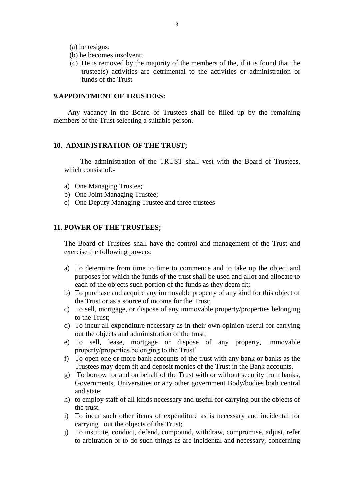(a) he resigns;

- (b) he becomes insolvent;
- (c) He is removed by the majority of the members of the, if it is found that the trustee(s) activities are detrimental to the activities or administration or funds of the Trust

#### **9.APPOINTMENT OF TRUSTEES:**

 Any vacancy in the Board of Trustees shall be filled up by the remaining members of the Trust selecting a suitable person.

#### **10. ADMINISTRATION OF THE TRUST;**

 The administration of the TRUST shall vest with the Board of Trustees, which consist of.-

- a) One Managing Trustee;
- b) One Joint Managing Trustee;
- c) One Deputy Managing Trustee and three trustees

#### **11. POWER OF THE TRUSTEES;**

The Board of Trustees shall have the control and management of the Trust and exercise the following powers:

- a) To determine from time to time to commence and to take up the object and purposes for which the funds of the trust shall be used and allot and allocate to each of the objects such portion of the funds as they deem fit;
- b) To purchase and acquire any immovable property of any kind for this object of the Trust or as a source of income for the Trust;
- c) To sell, mortgage, or dispose of any immovable property/properties belonging to the Trust;
- d) To incur all expenditure necessary as in their own opinion useful for carrying out the objects and administration of the trust;
- e) To sell, lease, mortgage or dispose of any property, immovable property/properties belonging to the Trust'
- f) To open one or more bank accounts of the trust with any bank or banks as the Trustees may deem fit and deposit monies of the Trust in the Bank accounts.
- g) To borrow for and on behalf of the Trust with or without security from banks, Governments, Universities or any other government Body/bodies both central and state;
- h) to employ staff of all kinds necessary and useful for carrying out the objects of the trust.
- i) To incur such other items of expenditure as is necessary and incidental for carrying out the objects of the Trust;
- j) To institute, conduct, defend, compound, withdraw, compromise, adjust, refer to arbitration or to do such things as are incidental and necessary, concerning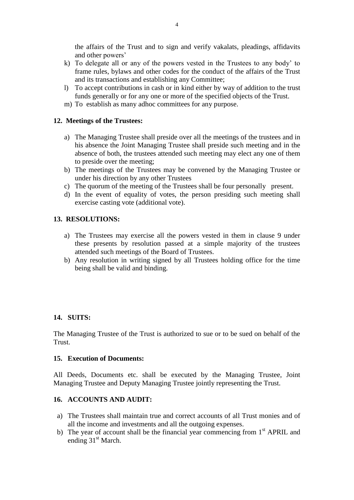the affairs of the Trust and to sign and verify vakalats, pleadings, affidavits and other powers'

- k) To delegate all or any of the powers vested in the Trustees to any body' to frame rules, bylaws and other codes for the conduct of the affairs of the Trust and its transactions and establishing any Committee;
- l) To accept contributions in cash or in kind either by way of addition to the trust funds generally or for any one or more of the specified objects of the Trust.
- m) To establish as many adhoc committees for any purpose.

## **12. Meetings of the Trustees:**

- a) The Managing Trustee shall preside over all the meetings of the trustees and in his absence the Joint Managing Trustee shall preside such meeting and in the absence of both, the trustees attended such meeting may elect any one of them to preside over the meeting;
- b) The meetings of the Trustees may be convened by the Managing Trustee or under his direction by any other Trustees
- c) The quorum of the meeting of the Trustees shall be four personally present.
- d) In the event of equality of votes, the person presiding such meeting shall exercise casting vote (additional vote).

## **13. RESOLUTIONS:**

- a) The Trustees may exercise all the powers vested in them in clause 9 under these presents by resolution passed at a simple majority of the trustees attended such meetings of the Board of Trustees.
- b) Any resolution in writing signed by all Trustees holding office for the time being shall be valid and binding.

## **14. SUITS:**

The Managing Trustee of the Trust is authorized to sue or to be sued on behalf of the Trust.

### **15. Execution of Documents:**

All Deeds, Documents etc. shall be executed by the Managing Trustee, Joint Managing Trustee and Deputy Managing Trustee jointly representing the Trust.

## **16. ACCOUNTS AND AUDIT:**

- a) The Trustees shall maintain true and correct accounts of all Trust monies and of all the income and investments and all the outgoing expenses.
- b) The year of account shall be the financial year commencing from  $1<sup>st</sup>$  APRIL and ending 31<sup>st</sup> March.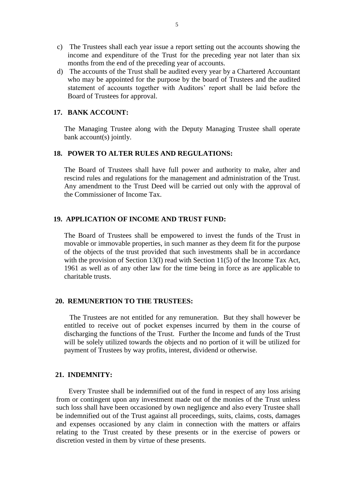- c) The Trustees shall each year issue a report setting out the accounts showing the income and expenditure of the Trust for the preceding year not later than six months from the end of the preceding year of accounts.
- d) The accounts of the Trust shall be audited every year by a Chartered Accountant who may be appointed for the purpose by the board of Trustees and the audited statement of accounts together with Auditors' report shall be laid before the Board of Trustees for approval.

#### **17. BANK ACCOUNT:**

The Managing Trustee along with the Deputy Managing Trustee shall operate bank account(s) jointly.

## **18. POWER TO ALTER RULES AND REGULATIONS:**

The Board of Trustees shall have full power and authority to make, alter and rescind rules and regulations for the management and administration of the Trust. Any amendment to the Trust Deed will be carried out only with the approval of the Commissioner of Income Tax.

### **19. APPLICATION OF INCOME AND TRUST FUND:**

The Board of Trustees shall be empowered to invest the funds of the Trust in movable or immovable properties, in such manner as they deem fit for the purpose of the objects of the trust provided that such investments shall be in accordance with the provision of Section 13(I) read with Section 11(5) of the Income Tax Act, 1961 as well as of any other law for the time being in force as are applicable to charitable trusts.

#### **20. REMUNERTION TO THE TRUSTEES:**

 The Trustees are not entitled for any remuneration. But they shall however be entitled to receive out of pocket expenses incurred by them in the course of discharging the functions of the Trust. Further the Income and funds of the Trust will be solely utilized towards the objects and no portion of it will be utilized for payment of Trustees by way profits, interest, dividend or otherwise.

## **21. INDEMNITY:**

 Every Trustee shall be indemnified out of the fund in respect of any loss arising from or contingent upon any investment made out of the monies of the Trust unless such loss shall have been occasioned by own negligence and also every Trustee shall be indemnified out of the Trust against all proceedings, suits, claims, costs, damages and expenses occasioned by any claim in connection with the matters or affairs relating to the Trust created by these presents or in the exercise of powers or discretion vested in them by virtue of these presents.